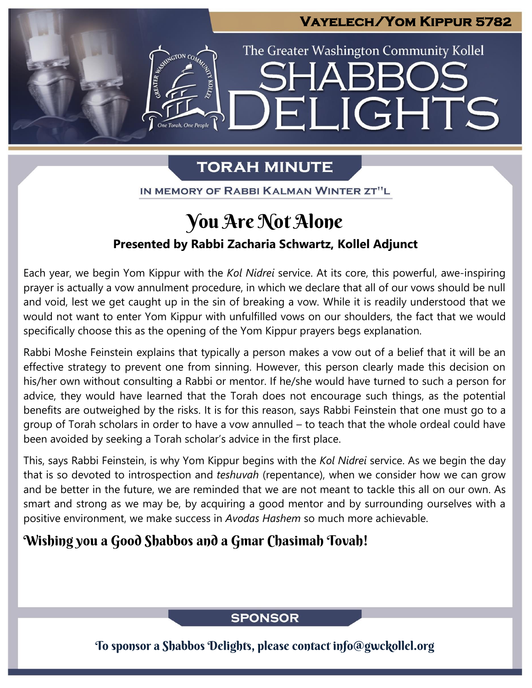## **Vayelech/Yom Kippur 5782**

The Greater Washington Community Kollel

ELIGHTS

# **TORAH MINUTE**

IN MEMORY OF RABBI KALMAN WINTER ZT"L

# You Are Not Alone

### **Presented by Rabbi Zacharia Schwartz, Kollel Adjunct**

Each year, we begin Yom Kippur with the *Kol Nidrei* service. At its core, this powerful, awe-inspiring prayer is actually a vow annulment procedure, in which we declare that all of our vows should be null and void, lest we get caught up in the sin of breaking a vow. While it is readily understood that we would not want to enter Yom Kippur with unfulfilled vows on our shoulders, the fact that we would specifically choose this as the opening of the Yom Kippur prayers begs explanation.

Rabbi Moshe Feinstein explains that typically a person makes a vow out of a belief that it will be an effective strategy to prevent one from sinning. However, this person clearly made this decision on his/her own without consulting a Rabbi or mentor. If he/she would have turned to such a person for advice, they would have learned that the Torah does not encourage such things, as the potential benefits are outweighed by the risks. It is for this reason, says Rabbi Feinstein that one must go to a group of Torah scholars in order to have a vow annulled – to teach that the whole ordeal could have been avoided by seeking a Torah scholar's advice in the first place.

This, says Rabbi Feinstein, is why Yom Kippur begins with the *Kol Nidrei* service. As we begin the day that is so devoted to introspection and *teshuvah* (repentance), when we consider how we can grow and be better in the future, we are reminded that we are not meant to tackle this all on our own. As smart and strong as we may be, by acquiring a good mentor and by surrounding ourselves with a positive environment, we make success in *Avodas Hashem* so much more achievable.

## Wishing you a Good Shabbos and a Gmar Chasimah Tovah!

**SPONSOR** 

To sponsor a Shabbos Delights, please contact info@gwckollel.org